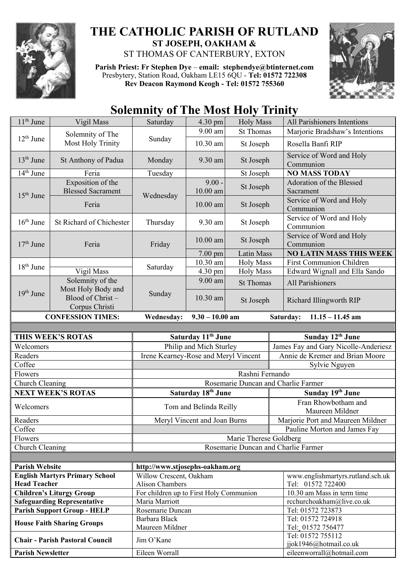

## **THE CATHOLIC PARISH OF RUTLAND ST JOSEPH, OAKHAM &**  ST THOMAS OF CANTERBURY, EXTON

**Parish Priest: Fr Stephen Dye** – **[email: stephendye@btinternet.com](mailto:email:%20%20stephendye@btinternet.com)** Presbytery, Station Road, Oakham LE15 6QU - **Tel: 01572 722308 Rev Deacon Raymond Keogh - Tel: 01572 755360**



## **Solemnity of The Most Holy Trinity**

| $11th$ June              | Vigil Mass                                               | Saturday                                          | 4.30 pm                      | <b>Holy Mass</b>       | All Parishioners Intentions                                              |  |
|--------------------------|----------------------------------------------------------|---------------------------------------------------|------------------------------|------------------------|--------------------------------------------------------------------------|--|
| $12th$ June              | Solemnity of The<br>Most Holy Trinity                    | Sunday                                            | 9.00 am                      | <b>St Thomas</b>       | Marjorie Bradshaw's Intentions                                           |  |
|                          |                                                          |                                                   | 10.30 am                     | St Joseph              | Rosella Banfi RIP                                                        |  |
| $13th$ June              | St Anthony of Padua                                      | Monday                                            | 9.30 am                      | St Joseph              | Service of Word and Holy<br>Communion                                    |  |
| $14th$ June              | Feria                                                    | Tuesday                                           |                              | St Joseph              | <b>NO MASS TODAY</b>                                                     |  |
| $15th$ June              | Exposition of the<br><b>Blessed Sacrament</b>            | Wednesday                                         | $9.00 -$<br>10.00 am         | St Joseph              | Adoration of the Blessed<br>Sacrament                                    |  |
|                          | Feria                                                    |                                                   | $10.00$ am                   | St Joseph              | Service of Word and Holy<br>Communion                                    |  |
| $16th$ June              | St Richard of Chichester                                 | Thursday                                          | 9.30 am                      | St Joseph              | Service of Word and Holy<br>Communion                                    |  |
| $17th$ June              | Feria                                                    | Friday                                            | $10.00$ am                   | St Joseph              | Service of Word and Holy<br>Communion                                    |  |
|                          |                                                          |                                                   | $7.00 \text{ pm}$            | <b>Latin Mass</b>      | <b>NO LATIN MASS THIS WEEK</b>                                           |  |
| $18th$ June              |                                                          | Saturday                                          | 10.30 am                     | <b>Holy Mass</b>       | <b>First Communion Children</b>                                          |  |
|                          | Vigil Mass                                               |                                                   | 4.30 pm                      | <b>Holy Mass</b>       | Edward Wignall and Ella Sando                                            |  |
|                          | Solemnity of the                                         |                                                   | 9.00 am                      | <b>St Thomas</b>       | All Parishioners                                                         |  |
| 19th June                | Most Holy Body and<br>Blood of Christ-<br>Corpus Christi | Sunday                                            | 10.30 am                     | St Joseph              | Richard Illingworth RIP                                                  |  |
|                          | <b>CONFESSION TIMES:</b>                                 | <b>Wednesday:</b>                                 | $9.30 - 10.00$ am            |                        | Saturday:<br>$11.15 - 11.45$ am                                          |  |
|                          |                                                          |                                                   |                              |                        |                                                                          |  |
| THIS WEEK'S ROTAS        |                                                          | Saturday 11 <sup>th</sup> June                    |                              |                        | Sunday 12 <sup>th</sup> June                                             |  |
| Welcomers                |                                                          | Philip and Mich Sturley                           |                              |                        | James Fay and Gary Nicolle-Anderiesz                                     |  |
| Readers                  |                                                          | Irene Kearney-Rose and Meryl Vincent              |                              |                        | Annie de Kremer and Brian Moore                                          |  |
| Coffee                   |                                                          | Sylvie Nguyen                                     |                              |                        |                                                                          |  |
|                          | Flowers                                                  |                                                   | Rashni Fernando              |                        |                                                                          |  |
|                          |                                                          |                                                   |                              |                        |                                                                          |  |
|                          |                                                          |                                                   |                              |                        | Rosemarie Duncan and Charlie Farmer                                      |  |
| Church Cleaning          | <b>NEXT WEEK'S ROTAS</b>                                 |                                                   | Saturday 18th June           |                        | Sunday 19th June                                                         |  |
| Welcomers                |                                                          |                                                   | Tom and Belinda Reilly       |                        | Fran Rhowbotham and                                                      |  |
| Readers                  |                                                          |                                                   |                              |                        | Maureen Mildner                                                          |  |
| Coffee                   |                                                          |                                                   | Meryl Vincent and Joan Burns |                        | Marjorie Port and Maureen Mildner<br>Pauline Morton and James Fay        |  |
| Flowers                  |                                                          |                                                   |                              | Marie Therese Goldberg |                                                                          |  |
| Church Cleaning          |                                                          |                                                   |                              |                        | Rosemarie Duncan and Charlie Farmer                                      |  |
|                          |                                                          |                                                   |                              |                        |                                                                          |  |
| <b>Parish Website</b>    |                                                          | http://www.stjosephs-oakham.org                   |                              |                        |                                                                          |  |
| <b>Head Teacher</b>      | <b>English Martyrs Primary School</b>                    | Willow Crescent, Oakham<br><b>Alison Chambers</b> |                              |                        | www.englishmartyrs.rutland.sch.uk<br>Tel: 01572 722400                   |  |
|                          | <b>Children's Liturgy Group</b>                          | For children up to First Holy Communion           |                              |                        | 10.30 am Mass in term time                                               |  |
|                          | <b>Safeguarding Representative</b>                       | Maria Marriott                                    |                              |                        | rcchurchoakham@live.co.uk                                                |  |
|                          | <b>Parish Support Group - HELP</b>                       | Rosemarie Duncan                                  |                              |                        | Tel: 01572 723873                                                        |  |
|                          |                                                          | Barbara Black                                     |                              |                        | Tel: 01572 724918                                                        |  |
|                          | <b>House Faith Sharing Groups</b>                        | Maureen Mildner                                   |                              |                        | Tel: 01572 756477                                                        |  |
| <b>Parish Newsletter</b> | <b>Chair - Parish Pastoral Council</b>                   | Jim O'Kane<br>Eileen Worrall                      |                              |                        | Tel: 01572 755112<br>jjok1946@hotmail.co.uk<br>eileenworrall@hotmail.com |  |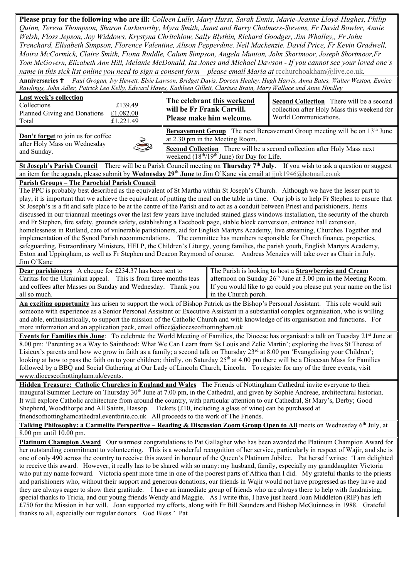**Please pray for the following who are ill:** *Colleen Lully, Mary Hurst, Sarah Ennis, Marie-Jeanne Lloyd-Hughes, Philip Quinn, Teresa Thompson, Sharon Larkworthy, Myra Smith, Janet and Barry Chalmers-Stevens, Fr David Bowler, Annie Welsh, Floss Jepson, Joy Widdows, Krystyna Chritchlow, Sally Blythin, Richard Goodger, Jim Whalley,, Fr John Trenchard, Elisabeth Simpson, Florence Valentine, Alison Pepperdine. Neil Mackenzie, David Price, Fr Kevin Gradwell, Moira McCormick, Claire Smith, Fiona Ruddle, Calum Simpson, Angela Munton, John Shortmoor, Joseph Shortmoor,Fr Tom McGovern, Elizabeth Ann Hill, Melanie McDonald, Ita Jones and Michael Dawson - If you cannot see your loved one's name in this sick list online you need to sign a consent form – please email Maria at rechurchoakham@live.co.uk.* **Anniversaries** *Paul Grogan, Ivy Hewett, Elsie Lawson, Bridget Davis, Doreen Healey, Hugh Harris, Anna Bates, Walter Weston, Eunice Rawlings, John Adler, Patrick Leo Kelly, Edward Hayes, Kathleen Gillett, Clarissa Brain, Mary Wallace and Anne Hindley* **Last week's collection** Collections £139.49 Planned Giving and Donations £1,082.00 Total  $£1,221.49$ **The celebrant this weekend will be Fr Frank Carvill. Please make him welcome. Second Collection** There will be a second collection after Holy Mass this weekend for World Communications. **Don't forget** to join us for coffee after Holy Mass on Wednesday and Sunday. **Bereavement Group** The next Bereavement Group meeting will be on 13<sup>th</sup> June at 2.30 pm in the Meeting Room. **Second Collection** There will be a second collection after Holy Mass next weekend (18<sup>th/19th</sup> June) for Day for Life. **St Joseph's Parish Council** There will be a Parish Council meeting on **Thursday 7th July**. If you wish to ask a question or suggest an item for the agenda, please submit by **Wednesday 29th June** to Jim O'Kane via email at [jjok1946@hotmail.co.uk](mailto:jjok1946@hotmail.co.uk) **Parish Groups – The Parochial Parish Council** The PPC is probably best described as the equivalent of St Martha within St Joseph's Church. Although we have the lesser part to play, it is important that we achieve the equivalent of putting the meal on the table in time. Our job is to help Fr Stephen to ensure that St Joseph's is a fit and safe place to be at the centre of the Parish and to act as a conduit between Priest and parishioners. Items discussed in our triannual meetings over the last few years have included stained glass windows installation, the security of the church and Fr Stephen, fire safety, grounds safety, establishing a Facebook page, stable block conversion, entrance hall extension, homelessness in Rutland, care of vulnerable parishioners, aid for English Martyrs Academy, live streaming, Churches Together and implementation of the Synod Parish recommendations. The committee has members responsible for Church finance, properties, safeguarding, Extraordinary Ministers, HELP, the Children's Liturgy, young families, the parish youth, English Martyrs Academy, Exton and Uppingham, as well as Fr Stephen and Deacon Raymond of course. Andreas Menzies will take over as Chair in July. Jim O'Kane **Dear parishioners** A cheque for £234.37 has been sent to Caritas for the Ukrainian appeal. This is from three months teas and coffees after Masses on Sunday and Wednesday. Thank you all so much. The Parish is looking to host a **Strawberries and Cream** afternoon on Sunday 26<sup>th</sup> June at 3.00 pm in the Meeting Room. If you would like to go could you please put your name on the list in the Church porch. **An exciting opportunity** has arisen to support the work of Bishop Patrick as the Bishop's Personal Assistant. This role would suit someone with experience as a Senior Personal Assistant or Executive Assistant in a substantial complex organisation, who is willing and able, enthusiastically, to support the mission of the Catholic Church and with knowledge of its organisation and functions. For more information and an application pack, email office@dioceseofnottingham.uk **Events for Families this June**: To celebrate the World Meeting of Families, the Diocese has organised: a talk on Tuesday 21<sup>st</sup> June at 8.00 pm: 'Parenting as a Way to Sainthood: What We Can Learn from Ss Louis and Zelie Martin'; exploring the lives St Therese of Lisieux's parents and how we grow in faith as a family; a second talk on Thursday 23<sup>rd</sup> at 8.00 pm 'Evangelising your Children'; looking at how to pass the faith on to your children; thirdly, on Saturday  $25<sup>th</sup>$  at 4.00 pm there will be a Diocesan Mass for Families followed by a BBQ and Social Gathering at Our Lady of Lincoln Church, Lincoln. To register for any of the three events, visit www.dioceseofnottingham.uk/events. **Hidden Treasure: Catholic Churches in England and Wales** The Friends of Nottingham Cathedral invite everyone to their inaugural Summer Lecture on Thursday 30<sup>th</sup> June at 7.00 pm, in the Cathedral, and given by Sophie Andreae, architectural historian. It will explore Catholic architecture from around the country, with particular attention to our Cathedral, St Mary's, Derby; Good Shepherd, Woodthorpe and All Saints, Hassop. Tickets (£10, including a glass of wine) can be purchased at friendsofnottinghamcathedral.eventbrite.co.uk All proceeds to the work of The Friends. **Talking Philosophy: a Carmelite Perspective – Reading & Discussion Zoom Group Open to All** meets on Wednesday 6th July, at 8.00 pm until 10.00 pm. **Platinum Champion Award** Our warmest congratulations to Pat Gallagher who has been awarded the Platinum Champion Award for her outstanding commitment to volunteering. This is a wonderful recognition of her service, particularly in respect of Wajir, and she is one of only 490 across the country to receive this award in honour of the Queen's Platinum Jubilee. Pat herself writes: 'I am delighted to receive this award. However, it really has to be shared with so many: my husband, family, especially my granddaughter Victoria who put my name forward. Victoria spent more time in one of the poorest parts of Africa than I did. My grateful thanks to the priests and parishioners who, without their support and generous donations, our friends in Wajir would not have progressed as they have and they are always eager to show their gratitude. I have an immediate group of friends who are always there to help with fundraising, special thanks to Tricia, and our young friends Wendy and Maggie. As I write this, I have just heard Joan Middleton (RIP) has left £750 for the Mission in her will. Joan supported my efforts, along with Fr Bill Saunders and Bishop McGuinness in 1988. Grateful thanks to all, especially our regular donors. God Bless.' Pat